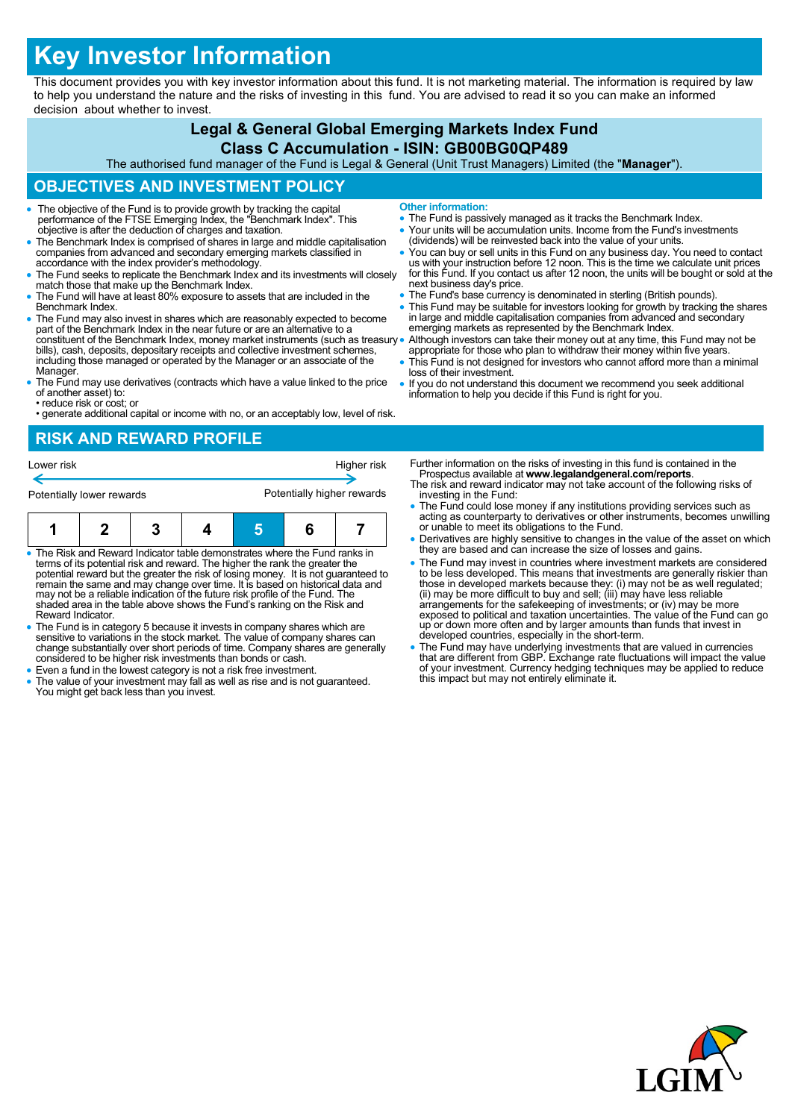# **Key Investor Information**

This document provides you with key investor information about this fund. It is not marketing material. The information is required by law to help you understand the nature and the risks of investing in this fund. You are advised to read it so you can make an informed decision about whether to invest.

## **Legal & General Global Emerging Markets Index Fund**

#### **Class C Accumulation - ISIN: GB00BG0QP489**

The authorised fund manager of the Fund is Legal & General (Unit Trust Managers) Limited (the "**Manager**").

### **OBJECTIVES AND INVESTMENT POLICY**

- The objective of the Fund is to provide growth by tracking the capital performance of the FTSE Emerging Index, the "Benchmark Index". This objective is after the deduction of charges and taxation.
- The Benchmark Index is comprised of shares in large and middle capitalisation companies from advanced and secondary emerging markets classified in accordance with the index provider's methodology.
- The Fund seeks to replicate the Benchmark Index and its investments will closely match those that make up the Benchmark Index.
- The Fund will have at least 80% exposure to assets that are included in the Benchmark Index.
- The Fund may also invest in shares which are reasonably expected to become part of the Benchmark Index in the near future or are an alternative to a constituent of the Benchmark Index, money market instruments (such as treasury bills), cash, deposits, depositary receipts and collective investment schemes, including those managed or operated by the Manager or an associate of the Manager.
- The Fund may use derivatives (contracts which have a value linked to the price of another asset) to:
- reduce risk or cost; or • generate additional capital or income with no, or an acceptably low, level of risk.

#### **RISK AND REWARD PROFILE**



- The Risk and Reward Indicator table demonstrates where the Fund ranks in terms of its potential risk and reward. The higher the rank the greater the potential reward but the greater the risk of losing money. It is not guaranteed to remain the same and may change over time. It is based on historical data and may not be a reliable indication of the future risk profile of the Fund. The shaded area in the table above shows the Fund's ranking on the Risk and Reward Indicator.
- The Fund is in category 5 because it invests in company shares which are sensitive to variations in the stock market. The value of company shares can change substantially over short periods of time. Company shares are generally considered to be higher risk investments than bonds or cash.
- Even a fund in the lowest category is not a risk free investment.
- The value of your investment may fall as well as rise and is not guaranteed. You might get back less than you invest.
- **Other information:**
- The Fund is passively managed as it tracks the Benchmark Index.
- Your units will be accumulation units. Income from the Fund's investments (dividends) will be reinvested back into the value of your units.
- You can buy or sell units in this Fund on any business day. You need to contact<br>us with your instruction before 12 noon. This is the time we calculate unit prices<br>for this Fund. If you contact us after 12 noon, the units next business day's price.
- The Fund's base currency is denominated in sterling (British pounds).
- This Fund may be suitable for investors looking for growth by tracking the shares in large and middle capitalisation companies from advanced and secondary emerging markets as represented by the Benchmark Index.
- Although investors can take their money out at any time, this Fund may not be appropriate for those who plan to withdraw their money within five years.
- This Fund is not designed for investors who cannot afford more than a minimal loss of their investment.
- If you do not understand this document we recommend you seek additional information to help you decide if this Fund is right for you.

Further information on the risks of investing in this fund is contained in the Prospectus available at **www.legalandgeneral.com/reports**.

- The risk and reward indicator may not take account of the following risks of investing in the Fund:
- The Fund could lose money if any institutions providing services such as acting as counterparty to derivatives or other instruments, becomes unwilling or unable to meet its obligations to the Fund.
- Derivatives are highly sensitive to changes in the value of the asset on which they are based and can increase the size of losses and gains.
- The Fund may invest in countries where investment markets are considered to be less developed. This means that investments are generally riskier than<br>those in developed markets because they: (i) may not be as well regulated;<br>(ii) may be more difficult to buy and sell; (iii) may have less reliab exposed to political and taxation uncertainties. The value of the Fund can go up or down more often and by larger amounts than funds that invest in developed countries, especially in the short-term.
- The Fund may have underlying investments that are valued in currencies that are different from GBP. Exchange rate fluctuations will impact the value of your investment. Currency hedging techniques may be applied to reduce this impact but may not entirely eliminate it.